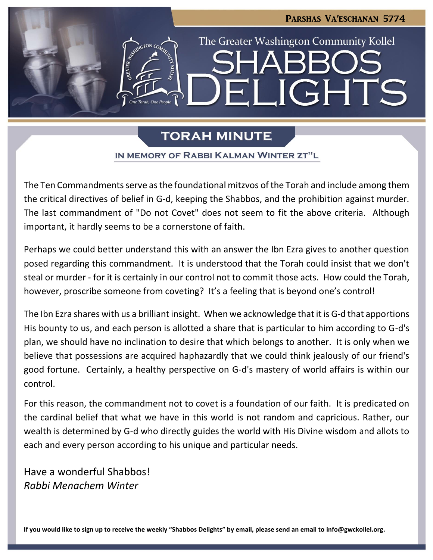

# **TORAH MINUTE**

#### IN MEMORY OF RABBI KALMAN WINTER ZT"L

The Ten Commandments serve as the foundational mitzvos of the Torah and include among them the critical directives of belief in G-d, keeping the Shabbos, and the prohibition against murder. The last commandment of "Do not Covet" does not seem to fit the above criteria. Although important, it hardly seems to be a cornerstone of faith.

Perhaps we could better understand this with an answer the Ibn Ezra gives to another question posed regarding this commandment. It is understood that the Torah could insist that we don't steal or murder - for it is certainly in our control not to commit those acts. How could the Torah, however, proscribe someone from coveting? It's a feeling that is beyond one's control!

The Ibn Ezra shares with us a brilliant insight. When we acknowledge that it is G-d that apportions His bounty to us, and each person is allotted a share that is particular to him according to G-d's plan, we should have no inclination to desire that which belongs to another. It is only when we believe that possessions are acquired haphazardly that we could think jealously of our friend's good fortune. Certainly, a healthy perspective on G-d's mastery of world affairs is within our control.

For this reason, the commandment not to covet is a foundation of our faith. It is predicated on the cardinal belief that what we have in this world is not random and capricious. Rather, our wealth is determined by G-d who directly guides the world with His Divine wisdom and allots to each and every person according to his unique and particular needs.

Have a wonderful Shabbos! *Rabbi Menachem Winter*

**If you would like to sign up to receive the weekly "Shabbos Delights" by email, please send an email to [info@gwckollel.org.](mailto:info@gwckollel.org)**